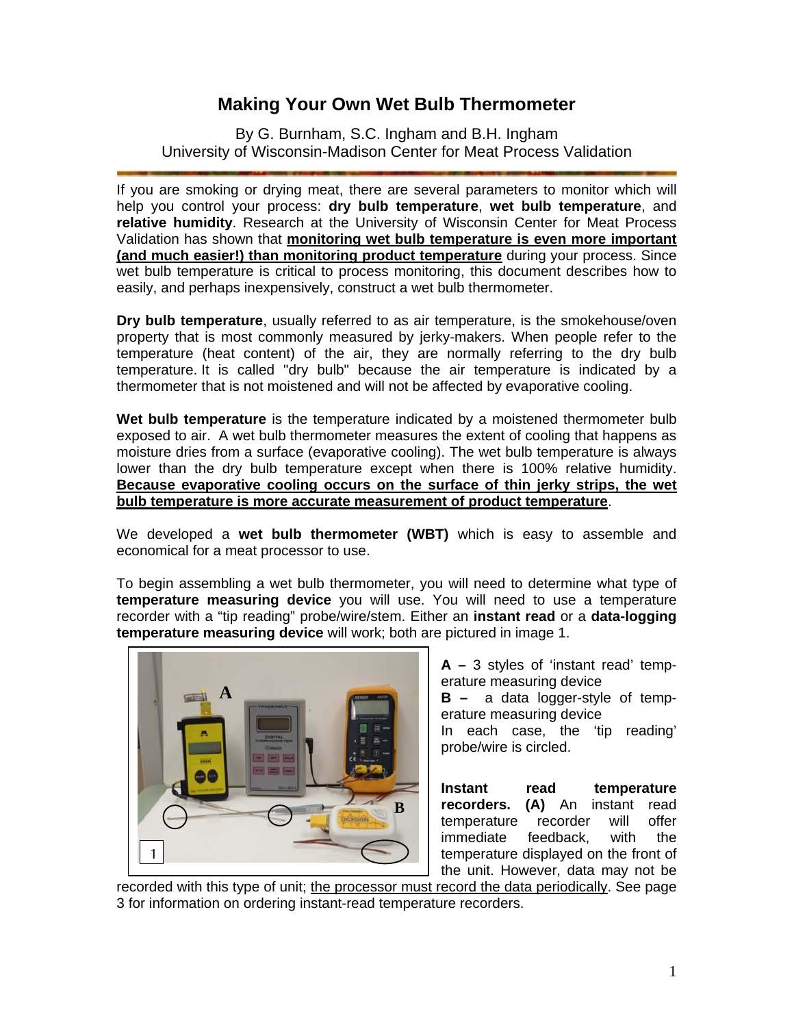## **Making Your Own Wet Bulb Thermometer**

By G. Burnham, S.C. Ingham and B.H. Ingham University of Wisconsin-Madison Center for Meat Process Validation

If you are smoking or drying meat, there are several parameters to monitor which will help you control your process: **dry bulb temperature**, **wet bulb temperature**, and **relative humidity**. Research at the University of Wisconsin Center for Meat Process Validation has shown that **monitoring wet bulb temperature is even more important (and much easier!) than monitoring product temperature** during your process. Since wet bulb temperature is critical to process monitoring, this document describes how to easily, and perhaps inexpensively, construct a wet bulb thermometer.

**Dry bulb temperature**, usually referred to as air temperature, is the smokehouse/oven property that is most commonly measured by jerky-makers. When people refer to the temperature (heat content) of the air, they are normally referring to the dry bulb temperature. It is called "dry bulb" because the air temperature is indicated by a thermometer that is not moistened and will not be affected by evaporative cooling.

**Wet bulb temperature** is the temperature indicated by a moistened thermometer bulb exposed to air. A wet bulb thermometer measures the extent of cooling that happens as moisture dries from a surface (evaporative cooling). The wet bulb temperature is always lower than the dry bulb temperature except when there is 100% relative humidity. **Because evaporative cooling occurs on the surface of thin jerky strips, the wet bulb temperature is more accurate measurement of product temperature**.

We developed a **wet bulb thermometer (WBT)** which is easy to assemble and economical for a meat processor to use.

To begin assembling a wet bulb thermometer, you will need to determine what type of **temperature measuring device** you will use. You will need to use a temperature recorder with a "tip reading" probe/wire/stem. Either an **instant read** or a **data-logging temperature measuring device** will work; both are pictured in image 1.



**A –** 3 styles of 'instant read' temperature measuring device

**B –** a data logger-style of temperature measuring device

In each case, the 'tip reading' probe/wire is circled.

**Instant read temperature recorders. (A)** An instant read temperature recorder will offer immediate feedback, with the temperature displayed on the front of the unit. However, data may not be

recorded with this type of unit; the processor must record the data periodically. See page 3 for information on ordering instant-read temperature recorders.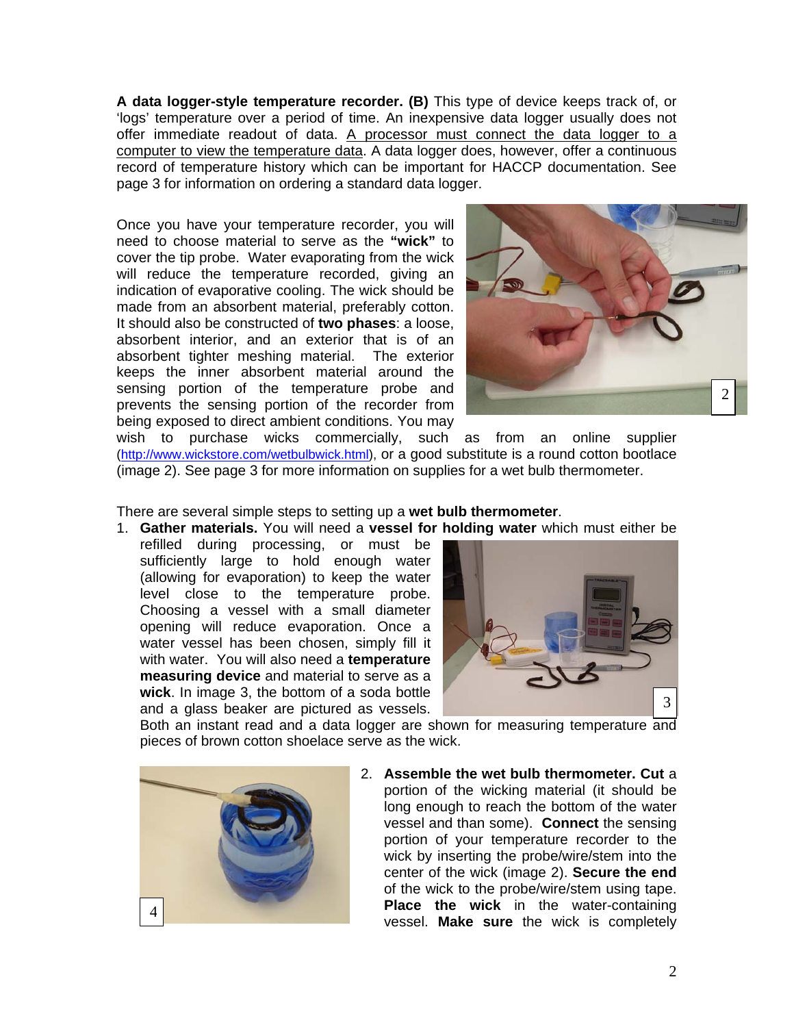**A data logger-style temperature recorder. (B)** This type of device keeps track of, or 'logs' temperature over a period of time. An inexpensive data logger usually does not offer immediate readout of data. A processor must connect the data logger to a computer to view the temperature data. A data logger does, however, offer a continuous record of temperature history which can be important for HACCP documentation. See page 3 for information on ordering a standard data logger.

Once you have your temperature recorder, you will need to choose material to serve as the **"wick"** to cover the tip probe. Water evaporating from the wick will reduce the temperature recorded, giving an indication of evaporative cooling. The wick should be made from an absorbent material, preferably cotton. It should also be constructed of **two phases**: a loose, absorbent interior, and an exterior that is of an absorbent tighter meshing material. The exterior keeps the inner absorbent material around the sensing portion of the temperature probe and prevents the sensing portion of the recorder from being exposed to direct ambient conditions. You may



wish to purchase wicks commercially, such as from an online supplier (http://www.wickstore.com/wetbulbwick.html), or a good substitute is a round cotton bootlace (image 2). See page 3 for more information on supplies for a wet bulb thermometer.

#### There are several simple steps to setting up a **wet bulb thermometer**.

- 1. **Gather materials.** You will need a **vessel for holding water** which must either be
	- refilled during processing, or must be sufficiently large to hold enough water (allowing for evaporation) to keep the water level close to the temperature probe. Choosing a vessel with a small diameter opening will reduce evaporation. Once a water vessel has been chosen, simply fill it with water. You will also need a **temperature measuring device** and material to serve as a **wick**. In image 3, the bottom of a soda bottle and a glass beaker are pictured as vessels.



Both an instant read and a data logger are shown for measuring temperature and pieces of brown cotton shoelace serve as the wick.



2. **Assemble the wet bulb thermometer. Cut** a portion of the wicking material (it should be long enough to reach the bottom of the water vessel and than some). **Connect** the sensing portion of your temperature recorder to the wick by inserting the probe/wire/stem into the center of the wick (image 2). **Secure the end**  of the wick to the probe/wire/stem using tape. **Place the wick** in the water-containing vessel. **Make sure** the wick is completely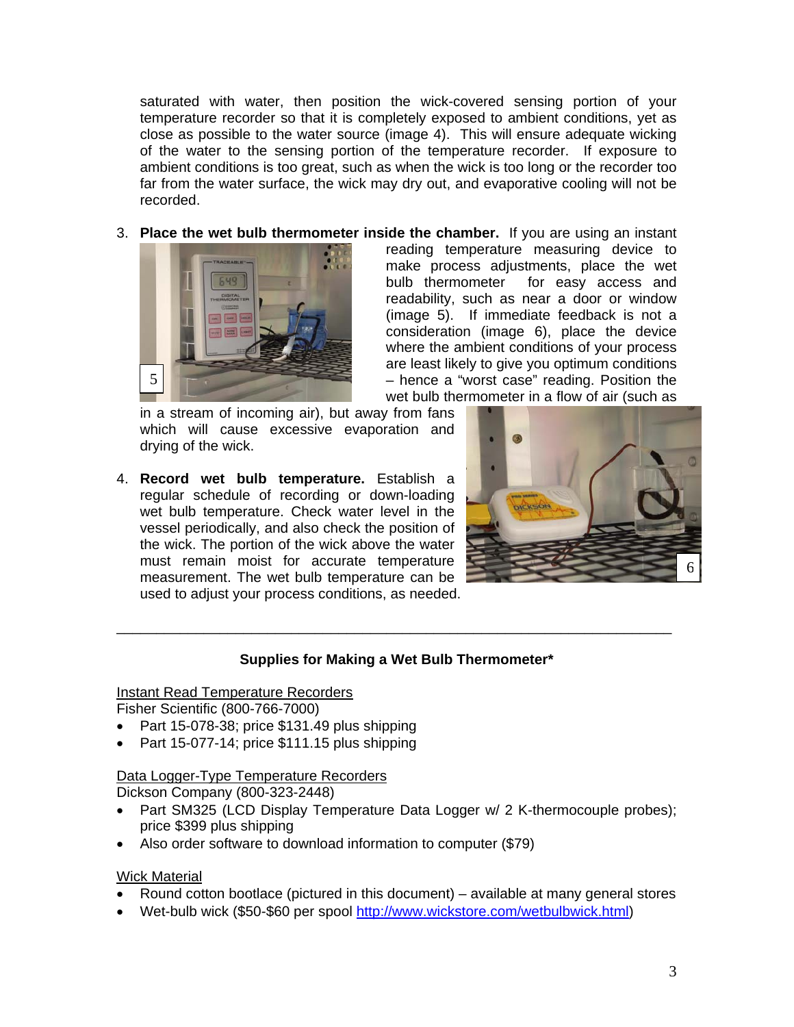saturated with water, then position the wick-covered sensing portion of your temperature recorder so that it is completely exposed to ambient conditions, yet as close as possible to the water source (image 4). This will ensure adequate wicking of the water to the sensing portion of the temperature recorder. If exposure to ambient conditions is too great, such as when the wick is too long or the recorder too far from the water surface, the wick may dry out, and evaporative cooling will not be recorded.

3. **Place the wet bulb thermometer inside the chamber.** If you are using an instant



reading temperature measuring device to make process adjustments, place the wet bulb thermometer for easy access and readability, such as near a door or window (image 5). If immediate feedback is not a consideration (image 6), place the device where the ambient conditions of your process are least likely to give you optimum conditions – hence a "worst case" reading. Position the wet bulb thermometer in a flow of air (such as

in a stream of incoming air), but away from fans which will cause excessive evaporation and drying of the wick.

4. **Record wet bulb temperature.** Establish a regular schedule of recording or down-loading wet bulb temperature. Check water level in the vessel periodically, and also check the position of the wick. The portion of the wick above the water must remain moist for accurate temperature measurement. The wet bulb temperature can be used to adjust your process conditions, as needed.



### **Supplies for Making a Wet Bulb Thermometer\***

\_\_\_\_\_\_\_\_\_\_\_\_\_\_\_\_\_\_\_\_\_\_\_\_\_\_\_\_\_\_\_\_\_\_\_\_\_\_\_\_\_\_\_\_\_\_\_\_\_\_\_\_\_\_\_\_\_\_\_\_\_\_\_\_\_\_\_\_\_\_

#### Instant Read Temperature Recorders

Fisher Scientific (800-766-7000)

- Part 15-078-38; price \$131.49 plus shipping
- Part 15-077-14; price \$111.15 plus shipping

# Data Logger-Type Temperature Recorders

Dickson Company (800-323-2448)

- Part SM325 (LCD Display Temperature Data Logger w/ 2 K-thermocouple probes); price \$399 plus shipping
- Also order software to download information to computer (\$79)

#### Wick Material

- Round cotton bootlace (pictured in this document) available at many general stores
- Wet-bulb wick (\$50-\$60 per spool http://www.wickstore.com/wetbulbwick.html)